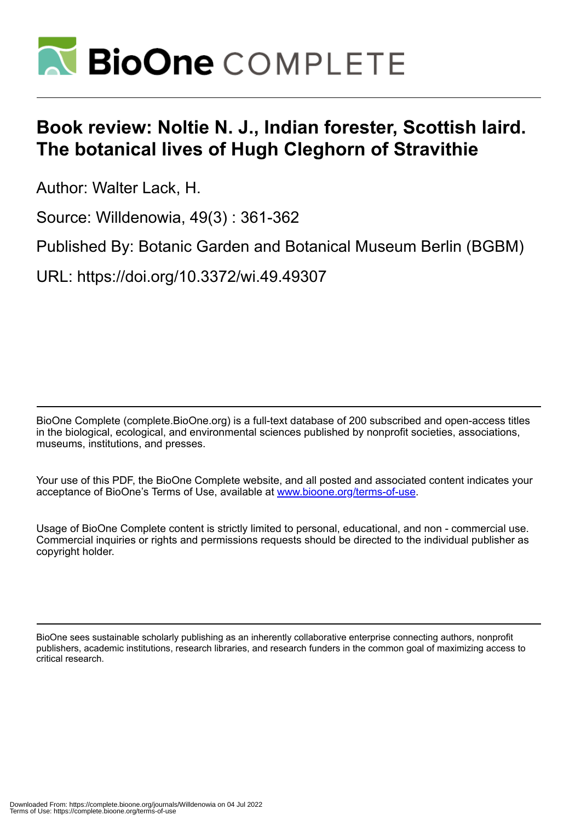

## **Book review: Noltie N. J., Indian forester, Scottish laird. The botanical lives of Hugh Cleghorn of Stravithie**

Author: Walter Lack, H.

Source: Willdenowia, 49(3) : 361-362

Published By: Botanic Garden and Botanical Museum Berlin (BGBM)

URL: https://doi.org/10.3372/wi.49.49307

BioOne Complete (complete.BioOne.org) is a full-text database of 200 subscribed and open-access titles in the biological, ecological, and environmental sciences published by nonprofit societies, associations, museums, institutions, and presses.

Your use of this PDF, the BioOne Complete website, and all posted and associated content indicates your acceptance of BioOne's Terms of Use, available at www.bioone.org/terms-of-use.

Usage of BioOne Complete content is strictly limited to personal, educational, and non - commercial use. Commercial inquiries or rights and permissions requests should be directed to the individual publisher as copyright holder.

BioOne sees sustainable scholarly publishing as an inherently collaborative enterprise connecting authors, nonprofit publishers, academic institutions, research libraries, and research funders in the common goal of maximizing access to critical research.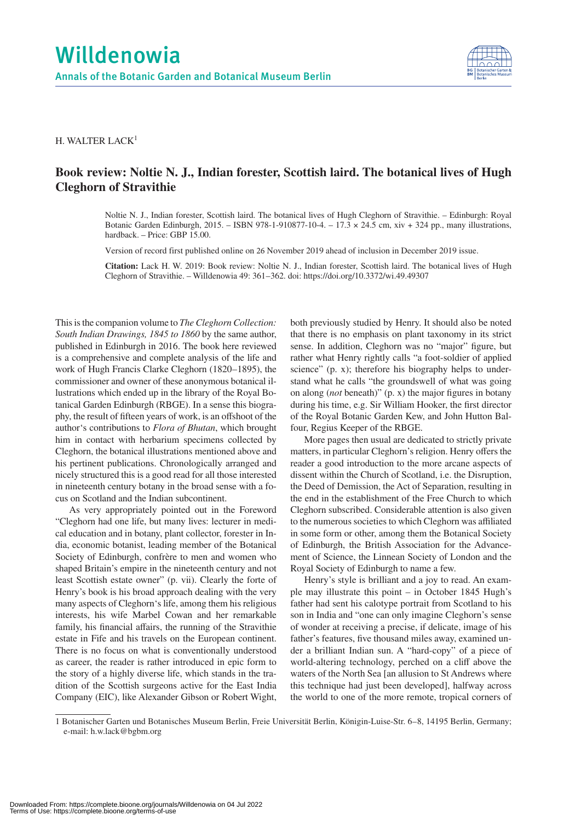

H. WALTER LACK<sup>1</sup>

## **Book review: Noltie N. J., Indian forester, Scottish laird. The botanical lives of Hugh Cleghorn of Stravithie**

Noltie N. J., Indian forester, Scottish laird. The botanical lives of Hugh Cleghorn of Stravithie. – Edinburgh: Royal Botanic Garden Edinburgh, 2015. – ISBN 978-1-910877-10-4. – 17.3 × 24.5 cm, xiv + 324 pp., many illustrations, hardback. – Price: GBP 15.00.

Version of record first published online on 26 November 2019 ahead of inclusion in December 2019 issue.

**Citation:** Lack H. W. 2019: Book review: Noltie N. J., Indian forester, Scottish laird. The botanical lives of Hugh Cleghorn of Stravithie. – Willdenowia 49: 361–362. doi: https://doi.org/10.3372/wi.49.49307

This is the companion volume to *The Cleghorn Collection: South Indian Drawings, 1845 to 1860* by the same author, published in Edinburgh in 2016. The book here reviewed is a comprehensive and complete analysis of the life and work of Hugh Francis Clarke Cleghorn (1820–1895), the commissioner and owner of these anonymous botanical illustrations which ended up in the library of the Royal Botanical Garden Edinburgh (RBGE). In a sense this biography, the result of fifteen years of work, is an offshoot of the author's contributions to *Flora of Bhutan*, which brought him in contact with herbarium specimens collected by Cleghorn, the botanical illustrations mentioned above and his pertinent publications. Chronologically arranged and nicely structured this is a good read for all those interested in nineteenth century botany in the broad sense with a focus on Scotland and the Indian subcontinent.

As very appropriately pointed out in the Foreword "Cleghorn had one life, but many lives: lecturer in medical education and in botany, plant collector, forester in India, economic botanist, leading member of the Botanical Society of Edinburgh, confrère to men and women who shaped Britain's empire in the nineteenth century and not least Scottish estate owner" (p. vii). Clearly the forte of Henry's book is his broad approach dealing with the very many aspects of Cleghorn's life, among them his religious interests, his wife Marbel Cowan and her remarkable family, his financial affairs, the running of the Stravithie estate in Fife and his travels on the European continent. There is no focus on what is conventionally understood as career, the reader is rather introduced in epic form to the story of a highly diverse life, which stands in the tradition of the Scottish surgeons active for the East India Company (EIC), like Alexander Gibson or Robert Wight,

both previously studied by Henry. It should also be noted that there is no emphasis on plant taxonomy in its strict sense. In addition, Cleghorn was no "major" figure, but rather what Henry rightly calls "a foot-soldier of applied science" (p. x); therefore his biography helps to understand what he calls "the groundswell of what was going on along (*not* beneath)" (p. x) the major figures in botany during his time, e.g. Sir William Hooker, the first director of the Royal Botanic Garden Kew, and John Hutton Balfour, Regius Keeper of the RBGE.

More pages then usual are dedicated to strictly private matters, in particular Cleghorn's religion. Henry offers the reader a good introduction to the more arcane aspects of dissent within the Church of Scotland, i.e. the Disruption, the Deed of Demission, the Act of Separation, resulting in the end in the establishment of the Free Church to which Cleghorn subscribed. Considerable attention is also given to the numerous societies to which Cleghorn was affiliated in some form or other, among them the Botanical Society of Edinburgh, the British Association for the Advancement of Science, the Linnean Society of London and the Royal Society of Edinburgh to name a few.

Henry's style is brilliant and a joy to read. An example may illustrate this point – in October 1845 Hugh's father had sent his calotype portrait from Scotland to his son in India and "one can only imagine Cleghorn's sense of wonder at receiving a precise, if delicate, image of his father's features, five thousand miles away, examined under a brilliant Indian sun. A "hard-copy" of a piece of world-altering technology, perched on a cliff above the waters of the North Sea [an allusion to St Andrews where this technique had just been developed], halfway across the world to one of the more remote, tropical corners of

<sup>1</sup> Botanischer Garten und Botanisches Museum Berlin, Freie Universität Berlin, Königin-Luise-Str. 6–8, 14195 Berlin, Germany; e-mail: h.w.lack@bgbm.org